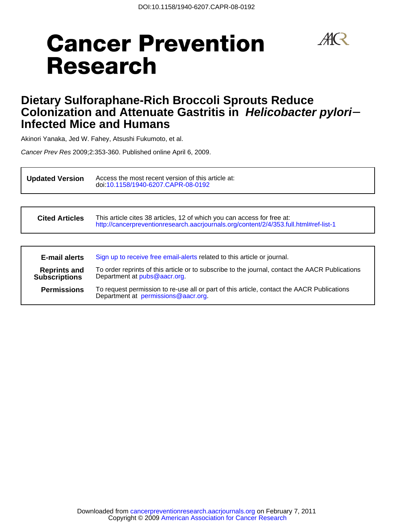## $\mathcal{A}(\mathcal{R})$

# **Cancer Prevention Research**

## **Infected Mice and Humans Colonization and Attenuate Gastritis in Helicobacter pylori**− **Dietary Sulforaphane-Rich Broccoli Sprouts Reduce**

Akinori Yanaka, Jed W. Fahey, Atsushi Fukumoto, et al.

Cancer Prev Res 2009;2:353-360. Published online April 6, 2009.

**Updated Version** Access the most recent version of this a doi[:10.1158/1940-6207.CAPR-08-0192](http://cancerpreventionresearch.aacrjournals.org/lookup/doi/10.1158/1940-6207.CAPR-08-0192) Access the most recent version of this article at:

| <b>Cited Articles</b>                       | This article cites 38 articles, 12 of which you can access for free at:<br>http://cancerpreventionresearch.aacrjournals.org/content/2/4/353.full.html#ref-list-1 |  |  |
|---------------------------------------------|------------------------------------------------------------------------------------------------------------------------------------------------------------------|--|--|
|                                             |                                                                                                                                                                  |  |  |
| <b>E-mail alerts</b>                        | Sign up to receive free email-alerts related to this article or journal.                                                                                         |  |  |
| <b>Reprints and</b><br><b>Subscriptions</b> | To order reprints of this article or to subscribe to the journal, contact the AACR Publications<br>Department at pubs@aacr.org.                                  |  |  |
| <b>Permissions</b>                          | To request permission to re-use all or part of this article, contact the AACR Publications<br>Department at permissions@aacr.org.                                |  |  |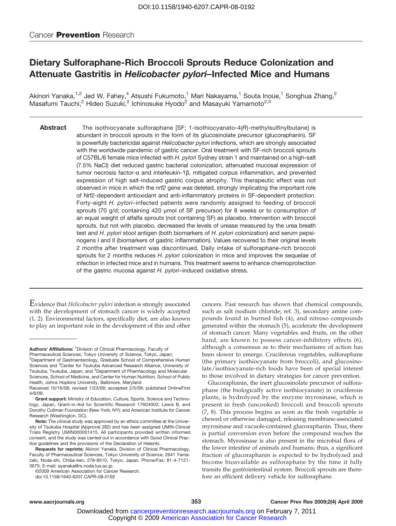### Dietary Sulforaphane-Rich Broccoli Sprouts Reduce Colonization and Attenuate Gastritis in Helicobacter pylori–Infected Mice and Humans

Akinori Yanaka,<sup>1,2</sup> Jed W. Fahey,<sup>4</sup> Atsushi Fukumoto,<sup>1</sup> Mari Nakayama,<sup>1</sup> Souta Inoue,<sup>1</sup> Songhua Zhang,<sup>2</sup> Masafumi Tauchi,<sup>2</sup> Hideo Suzuki,<sup>2</sup> Ichinosuke Hyodo<sup>2</sup> and Masayuki Yamamoto<sup>2,3</sup>

Abstract The isothiocyanate sulforaphane [SF; 1-isothiocyanato-4(R)-methylsulfinylbutane] is abundant in broccoli sprouts in the form of its glucosinolate precursor (glucoraphanin). SF is powerfully bactericidal against Helicobacter pylori infections, which are strongly associated with the worldwide pandemic of gastric cancer. Oral treatment with SF-rich broccoli sprouts of C57BL/6 female mice infected with H. pylori Sydney strain 1 and maintained on a high-salt (7.5% NaCl) diet reduced gastric bacterial colonization, attenuated mucosal expression of tumor necrosis factor-α and interleukin-1β, mitigated corpus inflammation, and prevented expression of high salt-induced gastric corpus atrophy. This therapeutic effect was not observed in mice in which the *nrf2* gene was deleted, strongly implicating the important role of Nrf2-dependent antioxidant and anti-inflammatory proteins in SF-dependent protection. Forty-eight H. pylori–infected patients were randomly assigned to feeding of broccoli sprouts (70 g/d; containing 420 μmol of SF precursor) for 8 weeks or to consumption of an equal weight of alfalfa sprouts (not containing SF) as placebo. Intervention with broccoli sprouts, but not with placebo, decreased the levels of urease measured by the urea breath test and H. pylori stool antigen (both biomarkers of H. pylori colonization) and serum pepsinogens I and II (biomarkers of gastric inflammation). Values recovered to their original levels 2 months after treatment was discontinued. Daily intake of sulforaphane-rich broccoli sprouts for 2 months reduces H. pylori colonization in mice and improves the sequelae of infection in infected mice and in humans. This treatment seems to enhance chemoprotection of the gastric mucosa against H. pylori–induced oxidative stress.

Evidence that Helicobacter pylori infection is strongly associated with the development of stomach cancer is widely accepted (1, 2). Environmental factors, specifically diet, are also known to play an important role in the development of this and other

Authors' Affiliations: <sup>1</sup> Division of Clinical Pharmacology, Faculty of Pharmaceutical Sciences, Tokyo University of Science, Tokyo, Japan; cancers. Past research has shown that chemical compounds, such as salt (sodium chloride; ref. 3), secondary amine compounds found in burned fish (4), and nitroso compounds generated within the stomach (5), accelerate the development of stomach cancer. Many vegetables and fruits, on the other hand, are known to possess cancer-inhibitory effects (6), although a consensus as to their mechanisms of action has been slower to emerge. Cruciferous vegetables, sulforaphane (the primary isothiocyanate from broccoli), and glucosinolate/isothiocyanate-rich foods have been of special interest to those involved in dietary strategies for cancer prevention.

Glucoraphanin, the inert glucosinolate precursor of sulforaphane (the biologically active isothiocyanate) in cruciferous plants, is hydrolyzed by the enzyme myrosinase, which is present in fresh (uncooked) broccoli and broccoli sprouts (7, 8). This process begins as soon as the fresh vegetable is chewed or otherwise damaged, releasing membrane-associated myrosinase and vacuole-contained glucoraphanin. Thus, there is partial conversion even before the compound reaches the stomach. Myrosinase is also present in the microbial flora of the lower intestine of animals and humans; thus, a significant fraction of glucoraphanin is expected to be hydrolyzed and become bioavailable as sulforaphane by the time it fully transits the gastrointestinal system. Broccoli sprouts are therefore an efficient delivery vehicle for sulforaphane.

<sup>&</sup>lt;sup>2</sup>Department of Gastroenterology, Graduate School of Comprehensive Human Sciences and <sup>3</sup>Center for Tsukuba Advanced Research Alliance, University of Tsukuba, Tsukuba, Japan; and <sup>4</sup>Department of Pharmacology and Molecular Sciences, School of Medicine, and Center for Human Nutrition, School of Public Health, Johns Hopkins University, Baltimore, Maryland

Received 10/16/08; revised 1/23/09; accepted 2/5/09; published OnlineFirst 4/6/09.

Grant support: Ministry of Education, Culture, Sports, Science and Technology, Japan, Grant-in-Aid for Scientific Research 17604002; Lewis B. and Dorothy Cullman Foundation (New York, NY); and American Institute for Cancer Research (Washington, DC).

Note: The clinical study was approved by an ethics committee at the University of Tsukuba Hospital (Approval 282) and has been assigned UMIN-Clinical Trials Registry UMIN000001415. All participants provided written informed consent, and the study was carried out in accordance with Good Clinical Practice guidelines and the provisions of the Declaration of Helsinki.

Requests for reprints: Akinori Yanaka, Division of Clinical Pharmacology, Faculty of Pharmaceutical Sciences, Tokyo University of Science, 2641 Yamazaki, Noda-shi, Chiba-ken, 278-8510, Tokyo, Japan. Phone/Fax: 81-4-7121- 3675; E-mail: ayanaka@rs.noda.tus.ac.jp.

<sup>©2009</sup> American Association for Cancer Research.

doi:10.1158/1940-6207.CAPR-08-0192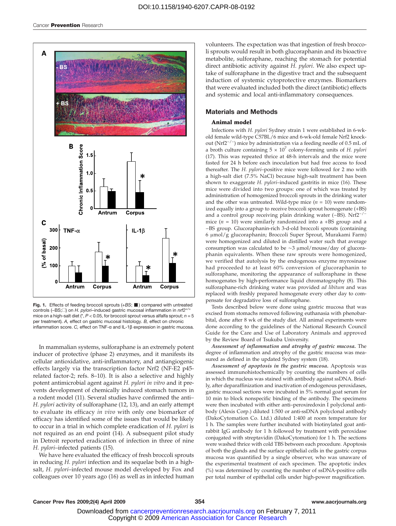

Fig. 1. Effects of feeding broccoli sprouts  $(+BS; \blacksquare)$  compared with untreated controls (–BS;<sup>[1</sup>) on *H. pylori–*induced gastric mucosal inflammation in nrf2<sup>+/+</sup> mice on a high-salt diet ( $\degree$ ,  $P < 0.05$ , for broccoli sprout versus alfalfa sprout;  $n = 5$ per treatment). A, effect on gastric mucosal histology. B, effect on chronic inflammation score. C, effect on TNF-α and IL-1β expression in gastric mucosa.

In mammalian systems, sulforaphane is an extremely potent inducer of protective (phase 2) enzymes, and it manifests its cellular antioxidative, anti-inflammatory, and antiangiogenic effects largely via the transcription factor Nrf2 (NF-E2 p45 related factor-2; refs. 8–10). It is also a selective and highly potent antimicrobial agent against H. pylori in vitro and it prevents development of chemically induced stomach tumors in a rodent model (11). Several studies have confirmed the anti– H. pylori activity of sulforaphane (12, 13), and an early attempt to evaluate its efficacy in vivo with only one biomarker of efficacy has identified some of the issues that would be likely to occur in a trial in which complete eradication of H. pylori is not required as an end point (14). A subsequent pilot study in Detroit reported eradication of infection in three of nine H. pylori–infected patients (15).

We have here evaluated the efficacy of fresh broccoli sprouts in reducing H. pylori infection and its sequelae both in a highsalt, H. pylori–infected mouse model developed by Fox and colleagues over 10 years ago (16) as well as in infected human

volunteers. The expectation was that ingestion of fresh broccoli sprouts would result in both glucoraphanin and its bioactive metabolite, sulforaphane, reaching the stomach for potential direct antibiotic activity against H. pylori. We also expect uptake of sulforaphane in the digestive tract and the subsequent induction of systemic cytoprotective enzymes. Biomarkers that were evaluated included both the direct (antibiotic) effects and systemic and local anti-inflammatory consequences.

#### Materials and Methods

#### Animal model

Infections with H. pylori Sydney strain 1 were established in 6-wkold female wild-type C57BL/6 mice and 6-wk-old female Nrf2 knockout (Nrf2−/<sup>−</sup> ) mice by administration via a feeding needle of 0.5 mL of a broth culture containing  $5 \times 10^7$  colony-forming units of H. pylori (17). This was repeated thrice at 48-h intervals and the mice were fasted for 24 h before each inoculation but had free access to food thereafter. The H. pylori–positive mice were followed for 2 mo with a high-salt diet (7.5% NaCl) because high-salt treatment has been shown to exaggerate H. pylori-induced gastritis in mice (16). These mice were divided into two groups: one of which was treated by administration of homogenized broccoli sprouts in the drinking water and the other was untreated. Wild-type mice  $(n = 10)$  were randomized equally into a group to receive broccoli sprout homogenate (+BS) and a control group receiving plain drinking water (−BS). Nrf2−/<sup>−</sup> mice  $(n = 10)$  were similarly randomized into a +BS group and a −BS group. Glucoraphanin-rich 3-d-old broccoli sprouts (containing 6 μmol/g glucoraphanin; Broccoli Super Sprout, Murakami Farm) were homogenized and diluted in distilled water such that average consumption was calculated to be ∼3 μmol/mouse/day of glucoraphanin equivalents. When these raw sprouts were homogenized, we verified that autolysis by the endogenous enzyme myrosinase had proceeded to at least 60% conversion of glucoraphanin to sulforaphane, monitoring the appearance of sulforaphane in these homogenates by high-performance liquid chromatography (8). This sulforaphane-rich drinking water was provided ad libitum and was replaced with freshly prepared homogenate every other day to compensate for degradative loss of sulforaphane.

Tests described below were done using gastric mucosa that was excised from stomachs removed following euthanasia with phenobarbital, done after 8 wk of the study diet. All animal experiments were done according to the guidelines of the National Research Council Guide for the Care and Use of Laboratory Animals and approved by the Review Board of Tsukuba University.

Assessment of inflammation and atrophy of gastric mucosa. The degree of inflammation and atrophy of the gastric mucosa was measured as defined in the updated Sydney system (18).

Assessment of apoptosis in the gastric mucosa. Apoptosis was assessed immunohistochemically by counting the numbers of cells in which the nucleus was stained with antibody against ssDNA. Briefly, after deparaffinization and inactivation of endogenous peroxidases, gastric mucosal sections were incubated in 5% normal goat serum for 10 min to block nonspecific binding of the antibody. The specimens were then incubated with either anti–peroxiredoxin I polyclonal antibody (Alexis Corp.) diluted 1:500 or anti-ssDNA polyclonal antibody (DakoCytomation Co. Ltd.) diluted 1:400 at room temperature for 1 h. The samples were further incubated with biotinylated goat antirabbit IgG antibody for 1 h followed by treatment with peroxidase conjugated with streptavidin (DakoCytomation) for 1 h. The sections were washed thrice with cold TBS between each procedure. Apoptosis of both the glands and the surface epithelial cells in the gastric corpus mucosa was quantified by a single observer, who was unaware of the experimental treatment of each specimen. The apoptotic index (%) was determined by counting the number of ssDNA-positive cells per total number of epithelial cells under high-power magnification.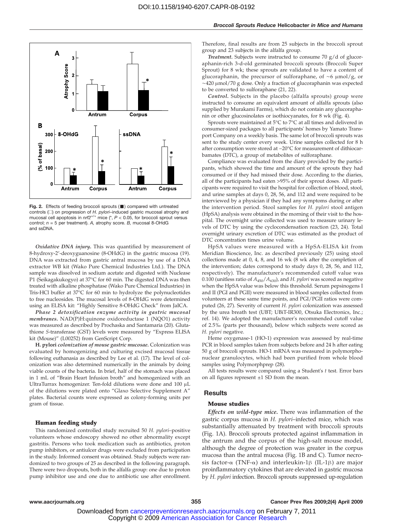

**Fig. 2.** Effects of feeding broccoli sprouts (■) compared with untreated<br>controls (□) on progression of *H. pylori–*induced gastric mucosal atrophy and mucosal cell apoptosis in  $n r f 2^{+/+}$  mice (\*,  $P < 0.05$ , for broccoli sprout versus control;  $n = 5$  per treatment). A, atrophy score. B, mucosal 8-OHdG and ssDNA.

Oxidative DNA injury. This was quantified by measurement of 8-hydroxy-2′-deoxyguanosine (8-OHdG) in the gastric mucosa (19). DNA was extracted from gastric antral mucosa by use of a DNA extractor WB kit (Wako Pure Chemical Industries Ltd.). The DNA sample was dissolved in sodium acetate and digested with Nuclease P1 (Seikagakukogyo) at 37°C for 60 min. The digested DNA was then treated with alkaline phosphatase (Wako Pure Chemical Industries) in Tris-HCl buffer at 37°C for 60 min to hydrolyze the polynucleotides to free nucleosides. The mucosal levels of 8-OHdG were determined using an ELISA kit: "Highly Sensitive 8-OHdG Check" from JaICA.

Phase 2 detoxification enzyme activity in gastric mucosal membranes. NAD(P)H:quinone oxidoreductase 1 (NQO1) activity was measured as described by Prochaska and Santamaria (20). Glutathione S-transferase (GST) levels were measured by "Express ELISA kit (Mouse)" (L00252) from GenScript Corp.

H. pylori colonization of mouse gastric mucosae. Colonization was evaluated by homogenizing and culturing excised mucosal tissue following euthanasia as described by Lee et al. (17). The level of colonization was also determined numerically in the animals by doing viable counts of the bacteria. In brief, half of the stomach was placed in 1 mL of "Brain Heart Infusion broth" and homogenized with an UltraTurrax homogenizer. Ten-fold dilutions were done and 100 μL of the dilutions were plated onto "Glaxo Selective Supplement A" plates. Bacterial counts were expressed as colony-forming units per gram of tissue.

#### Human feeding study

This randomized controlled study recruited 50 H. pylori–positive volunteers whose endoscopy showed no other abnormality except gastritis. Persons who took medication such as antibiotics, proton pump inhibitors, or antiulcer drugs were excluded from participation in the study. Informed consent was obtained. Study subjects were randomized to two groups of 25 as described in the following paragraph. There were two dropouts, both in the alfalfa group: one due to proton pump inhibitor use and one due to antibiotic use after enrollment.

Therefore, final results are from 25 subjects in the broccoli sprout group and 23 subjects in the alfalfa group.

Treatment. Subjects were instructed to consume 70 g/d of glucoraphanin-rich 3-d-old germinated broccoli sprouts (Broccoli Super Sprout) for 8 wk; these sprouts are validated to have a content of glucoraphanin, the precursor of sulforaphane, of ∼6 μmol/g, or ∼420 μmol/70 g dose. Only a fraction of glucoraphanin was expected to be converted to sulforaphane (21, 22).

Control. Subjects in the placebo (alfalfa sprouts) group were instructed to consume an equivalent amount of alfalfa sprouts (also supplied by Murakami Farms), which do not contain any glucoraphanin or other glucosinolates or isothiocyanates, for 8 wk (Fig. 4).

Sprouts were maintained at 5°C to 7°C at all times and delivered in consumer-sized packages to all participants' homes by Yamato Transport Company on a weekly basis. The same lot of broccoli sprouts was sent to the study center every week. Urine samples collected for 8 h after consumption were stored at −20°C for measurement of dithiocarbamates (DTC), a group of metabolites of sulforaphane.

Compliance was evaluated from the diary provided by the participants, which showed the time and amount of the sprouts they had consumed or if they had missed their dose. According to the diaries, all of the participants had eaten >95% of their sprout doses. All participants were required to visit the hospital for collection of blood, stool, and urine samples at days 0, 28, 56, and 112 and were required to be interviewed by a physician if they had any symptoms during or after the intervention period. Stool samples for H. pylori stool antigen (HpSA) analysis were obtained in the morning of their visit to the hospital. The overnight urine collected was used to measure urinary levels of DTC by using the cyclocondensation reaction (23, 24). Total overnight urinary excretion of DTC was estimated as the product of DTC concentration times urine volume.

HpSA values were measured with a HpSA-ELISA kit from Meridian Bioscience, Inc. as described previously (25) using stool collections made at 0, 4, 8, and 16 wk (8 wk after the completion of the intervention; dates correspond to study days 0, 28, 56, and 112, respectively). The manufacturer's recommended cutoff value was 0.100 (unitless ratio of  $A_{450}/A_{630}$ ), and H. pylori was scored as negative when the HpSA value was below this threshold. Serum pepsinogens I and II (PGI and PGII) were measured in blood samples collected from volunteers at these same time points, and PGI/PGII ratios were computed (26, 27). Severity of current H. pylori colonization was assessed by the urea breath test (UBT; UBiT-IR300, Otsuka Electronics, Inc.; ref. 14). We adopted the manufacturer's recommended cutoff value of 2.5‰ (parts per thousand), below which subjects were scored as H. pylori negative.

Heme oxygenase-1 (HO-1) expression was assessed by real-time PCR in blood samples taken from subjects before and 24 h after eating 50 g of broccoli sprouts. HO-1 mRNA was measured in polymorphonuclear granulocytes, which had been purified from whole blood samples using Polymorphprep (28).

All tests results were compared using a Student's  $t$  test. Error bars on all figures represent ±1 SD from the mean.

#### Results

#### Mouse studies

Effects on wild-type mice. There was inflammation of the gastric corpus mucosa in H. *pylori*–infected mice, which was substantially attenuated by treatment with broccoli sprouts (Fig. 1A). Broccoli sprouts protected against inflammation in the antrum and the corpus of the high-salt mouse model, although the degree of protection was greater in the corpus mucosa than the antral mucosa (Fig. 1B and C). Tumor necrosis factor-α (TNF-α) and interleukin-1β (IL-1β) are major proinflammatory cytokines that are elevated in gastric mucosa by H. pylori infection. Broccoli sprouts suppressed up-regulation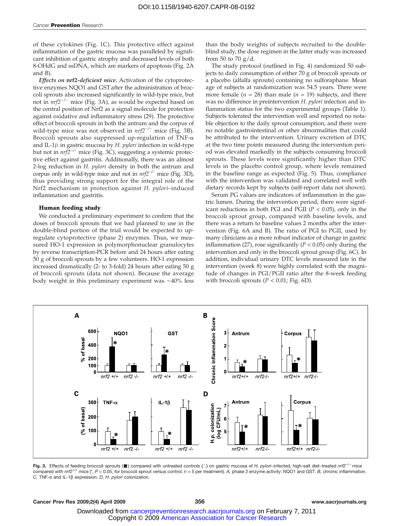of these cytokines (Fig. 1C). This protective effect against inflammation of the gastric mucosa was paralleled by significant inhibition of gastric atrophy and decreased levels of both 8-OHdG and ssDNA, which are markers of apoptosis (Fig. 2A and B).

Effects on nrf2-deficient mice. Activation of the cytoprotective enzymes NQO1 and GST after the administration of broccoli sprouts also increased significantly in wild-type mice, but not in  $nrf2^{-/-}$  mice (Fig. 3A), as would be expected based on the central position of Nrf2 as a signal molecule for protection against oxidative and inflammatory stress (29). The protective effect of broccoli sprouts in both the antrum and the corpus of wild-type mice was not observed in  $nrf2^{-/-}$  mice (Fig. 3B). Broccoli sprouts also suppressed up-regulation of TNF-α and IL-1 $\beta$  in gastric mucosa by H. *pylori* infection in wild-type but not in *nrf2<sup>-/-</sup>* mice (Fig. 3C), suggesting a systemic protective effect against gastritis. Additionally, there was an almost 2-log reduction in H. *pylori* density in both the antrum and corpus only in wild-type mice and not in  $nrf2^{-/-}$  mice (Fig. 3D), thus providing strong support for the integral role of the Nrf2 mechanism in protection against H. pylori–induced inflammation and gastritis.

#### Human feeding study

We conducted a preliminary experiment to confirm that the doses of broccoli sprouts that we had planned to use in the double-blind portion of the trial would be expected to upregulate cytoprotective (phase 2) enzymes. Thus, we measured HO-1 expression in polymorphonuclear granulocytes by reverse transcription-PCR before and 24 hours after eating 50 g of broccoli sprouts by a few volunteers. HO-1 expression increased dramatically (2-to 3-fold) 24 hours after eating 50 g of broccoli sprouts (data not shown). Because the average body weight in this preliminary experiment was ∼40% less

than the body weights of subjects recruited to the doubleblind study, the dose regimen in the latter study was increased from 50 to 70  $g/d$ .

The study protocol (outlined in Fig. 4) randomized 50 subjects to daily consumption of either 70 g of broccoli sprouts or a placebo (alfalfa sprouts) containing no sulforaphane. Mean age of subjects at randomization was 54.5 years. There were more female ( $n = 28$ ) than male ( $n = 19$ ) subjects, and there was no difference in preintervention H. pylori infection and inflammation status for the two experimental groups (Table 1). Subjects tolerated the intervention well and reported no notable objection to the daily sprout consumption, and there were no notable gastrointestinal or other abnormalities that could be attributed to the intervention. Urinary excretion of DTC at the two time points measured during the intervention period was elevated markedly in the subjects consuming broccoli sprouts. These levels were significantly higher than DTC levels in the placebo control group, where levels remained in the baseline range as expected (Fig. 5). Thus, compliance with the intervention was validated and correlated well with dietary records kept by subjects (self-report data not shown).

Serum PG values are indicators of inflammation in the gastric lumen. During the intervention period, there were significant reductions in both PGI and PGII ( $P < 0.05$ ), only in the broccoli sprout group, compared with baseline levels, and there was a return to baseline values 2 months after the intervention (Fig. 6A and B). The ratio of PGI to PGII, used by many clinicians as a more robust indicator of change in gastric inflammation (27), rose significantly ( $P < 0.05$ ) only during the intervention and only in the broccoli sprout group (Fig. 6C). In addition, individual urinary DTC levels measured late in the intervention (week 8) were highly correlated with the magnitude of changes in PGI/PGII ratio after the 8-week feeding with broccoli sprouts ( $P < 0.01$ ; Fig. 6D).



**Fig. 3.** Effects of feeding broccoli sprouts (■) compared with untreated controls (□) on gastric mucosa of *H. pylori–*infected, high-salt diet–treated *nrf2<sup>→/-</sup> m*ice<br>compared with *nrf2<sup>+/+</sup> mice (\*, P <* 0.05, for br C, TNF-α and IL-1β expression. D, H. pylori colonization.

#### Cancer Prev Res 2009;2(4) April 2009 356 356 356 www.aacrjournals.org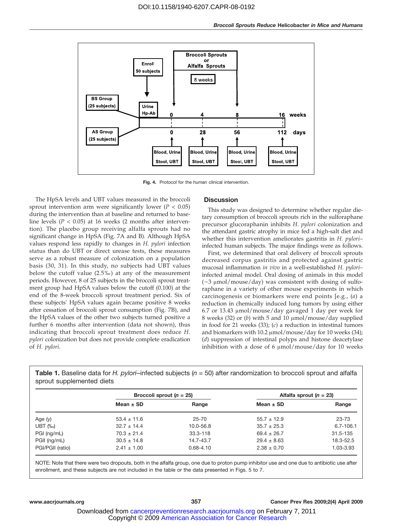

Fig. 4. Protocol for the human clinical intervention.

The HpSA levels and UBT values measured in the broccoli sprout intervention arm were significantly lower ( $P < 0.05$ ) during the intervention than at baseline and returned to baseline levels ( $P < 0.05$ ) at 16 weeks (2 months after intervention). The placebo group receiving alfalfa sprouts had no significant change in HpSA (Fig. 7A and B). Although HpSA values respond less rapidly to changes in H. pylori infection status than do UBT or direct urease tests, these measures serve as a robust measure of colonization on a population basis (30, 31). In this study, no subjects had UBT values below the cutoff value (2.5‰) at any of the measurement periods. However, 8 of 25 subjects in the broccoli sprout treatment group had HpSA values below the cutoff (0.100) at the end of the 8-week broccoli sprout treatment period. Six of these subjects' HpSA values again became positive 8 weeks after cessation of broccoli sprout consumption (Fig. 7B), and the HpSA values of the other two subjects turned positive a further 6 months after intervention (data not shown), thus indicating that broccoli sprout treatment does reduce H. pylori colonization but does not provide complete eradication of H. pylori.

#### **Discussion**

This study was designed to determine whether regular dietary consumption of broccoli sprouts rich in the sulforaphane precursor glucoraphanin inhibits H. pylori colonization and the attendant gastric atrophy in mice fed a high-salt diet and whether this intervention ameliorates gastritis in H. pyloriinfected human subjects. The major findings were as follows.

First, we determined that oral delivery of broccoli sprouts decreased corpus gastritis and protected against gastric mucosal inflammation in vivo in a well-established H. pylori– infected animal model. Oral dosing of animals in this model (∼3 μmol/mouse/day) was consistent with dosing of sulforaphane in a variety of other mouse experiments in which carcinogenesis or biomarkers were end points [e.g., (a) a reduction in chemically induced lung tumors by using either 6.7 or 13.43 μmol/mouse/day gavaged 1 day per week for 8 weeks (32) or  $(b)$  with 5 and 10  $\mu$ mol/mouse/day supplied in food for 21 weeks (33); (c) a reduction in intestinal tumors and biomarkers with 10.2 μmol/mouse/day for 10 weeks (34); (d) suppression of intestinal polyps and histone deacetylase inhibition with a dose of 6 μmol/mouse/day for 10 weeks

**Table 1.** Baseline data for *H. pylori–*infected subjects ( $n = 50$ ) after randomization to broccoli sprout and alfalfa sprout supplemented diets

|                  | Broccoli sprout $(n = 25)$ |               | Alfalfa sprout $(n = 23)$ |               |
|------------------|----------------------------|---------------|---------------------------|---------------|
|                  | Mean $\pm$ SD              | Range         | Mean $\pm$ SD             | Range         |
| Age $(y)$        | $53.4 \pm 11.6$            | 25-70         | $55.7 \pm 12.9$           | 23-73         |
| UBT $(\%_0)$     | $32.7 \pm 14.4$            | 10.0-56.8     | $35.7 \pm 25.3$           | $6.7 - 106.1$ |
| PGI (ng/mL)      | $70.3 \pm 21.4$            | $33.3 - 118$  | $69.4 \pm 26.7$           | $31.5 - 135$  |
| PGII (ng/mL)     | $30.5 \pm 14.8$            | 14.7-43.7     | $29.4 \pm 8.63$           | 18.3-52.5     |
| PGI/PGII (ratio) | $2.41 \pm 1.00$            | $0.68 - 4.10$ | $2.38 \pm 0.70$           | 1.03-3.93     |

NOTE: Note that there were two dropouts, both in the alfalfa group, one due to proton pump inhibitor use and one due to antibiotic use after enrollment, and these subjects are not included in the table or the data presented in Figs. 5 to 7.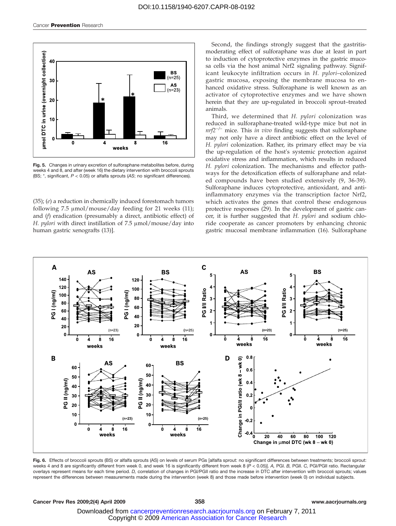

Fig. 5. Changes in urinary excretion of sulforaphane metabolites before, during weeks 4 and 8, and after (week 16) the dietary intervention with broccoli sprouts (BS;  $*$ , significant,  $P < 0.05$ ) or alfalfa sprouts (AS; no significant differences).

 $(35)$ ;  $(e)$  a reduction in chemically induced forestomach tumors following 7.5 μmol/mouse/day feeding for 21 weeks (11); and (f) eradication (presumably a direct, antibiotic effect) of H. pylori with direct instillation of 7.5 μmol/mouse/day into human gastric xenografts (13)].

Second, the findings strongly suggest that the gastritismoderating effect of sulforaphane was due at least in part to induction of cytoprotective enzymes in the gastric mucosa cells via the host animal Nrf2 signaling pathway. Significant leukocyte infiltration occurs in H. pylori–colonized gastric mucosa, exposing the membrane mucosa to enhanced oxidative stress. Sulforaphane is well known as an activator of cytoprotective enzymes and we have shown herein that they are up-regulated in broccoli sprout–treated animals.

Third, we determined that H. *pylori* colonization was reduced in sulforaphane-treated wild-type mice but not in  $nrf2^{-/-}$  mice. This in vivo finding suggests that sulforaphane may not only have a direct antibiotic effect on the level of H. pylori colonization. Rather, its primary effect may be via the up-regulation of the host's systemic protection against oxidative stress and inflammation, which results in reduced H. pylori colonization. The mechanisms and effector pathways for the detoxification effects of sulforaphane and related compounds have been studied extensively (9, 36-39). Sulforaphane induces cytoprotective, antioxidant, and antiinflammatory enzymes via the transcription factor Nrf2, which activates the genes that control these endogenous protective responses (29). In the development of gastric cancer, it is further suggested that H. pylori and sodium chloride cooperate as cancer promoters by enhancing chronic gastric mucosal membrane inflammation (16). Sulforaphane



Fig. 6. Effects of broccoli sprouts (BS) or alfalfa sprouts (AS) on levels of serum PGs [alfalfa sprout: no significant differences between treatments; broccoli sprout: weeks 4 and 8 are significantly different from week 0, and week 16 is significantly different from week 8 (P < 0.05)]. A, PGI. B, PGII. C, PGI/PGII ratio. Rectangular overlays represent means for each time period. D, correlation of changes in PGI/PGII ratio and the increase in DTC after intervention with broccoli sprouts; values represent the differences between measurements made during the intervention (week 8) and those made before intervention (week 0) on individual subjects.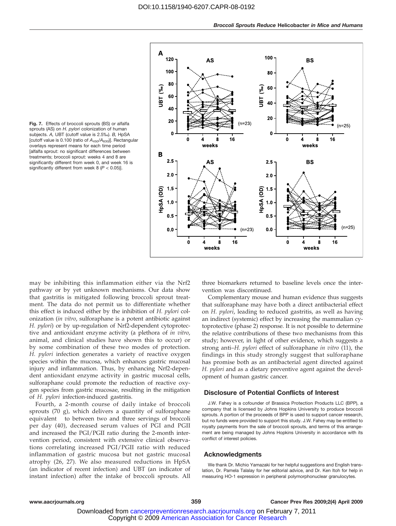

Fig. 7. Effects of broccoli sprouts (BS) or alfalfa sprouts (AS) on H. pylori colonization of human subjects. A, UBT (cutoff value is 2.5‰). B, HpSA [cutoff value is 0.100 (ratio of  $A_{450}/A_{630}$ ]. Rectangular overlays represent means for each time period [alfalfa sprout: no significant differences between treatments; broccoli sprout: weeks 4 and 8 are significantly different from week 0, and week 16 is significantly different from week  $8 (P < 0.05)$ ].

may be inhibiting this inflammation either via the Nrf2 pathway or by yet unknown mechanisms. Our data show that gastritis is mitigated following broccoli sprout treatment. The data do not permit us to differentiate whether this effect is induced either by the inhibition of H. pylori colonization (in vitro, sulforaphane is a potent antibiotic against H. pylori) or by up-regulation of Nrf2-dependent cytoprotective and antioxidant enzyme activity (a plethora of in vitro, animal, and clinical studies have shown this to occur) or by some combination of these two modes of protection. H. *pylori* infection generates a variety of reactive oxygen species within the mucosa, which enhances gastric mucosal injury and inflammation. Thus, by enhancing Nrf2-dependent antioxidant enzyme activity in gastric mucosal cells, sulforaphane could promote the reduction of reactive oxygen species from gastric mucosae, resulting in the mitigation of H. pylori infection-induced gastritis.

Fourth, a 2-month course of daily intake of broccoli sprouts (70 g), which delivers a quantity of sulforaphane equivalent to between two and three servings of broccoli per day (40), decreased serum values of PGI and PGII and increased the PGI/PGII ratio during the 2-month intervention period, consistent with extensive clinical observations correlating increased PGI/PGII ratio with reduced inflammation of gastric mucosa but not gastric mucosal atrophy (26, 27). We also measured reductions in HpSA (an indicator of recent infection) and UBT (an indicator of instant infection) after the intake of broccoli sprouts. All three biomarkers returned to baseline levels once the intervention was discontinued.

Complementary mouse and human evidence thus suggests that sulforaphane may have both a direct antibacterial effect on H. pylori, leading to reduced gastritis, as well as having an indirect (systemic) effect by increasing the mammalian cytoprotective (phase 2) response. It is not possible to determine the relative contributions of these two mechanisms from this study; however, in light of other evidence, which suggests a strong anti-H. pylori effect of sulforaphane in vitro (11), the findings in this study strongly suggest that sulforaphane has promise both as an antibacterial agent directed against H. *pylori* and as a dietary preventive agent against the development of human gastric cancer.

#### Disclosure of Potential Conflicts of Interest

J.W. Fahey is a cofounder of Brassica Protection Products LLC (BPP), a company that is licensed by Johns Hopkins University to produce broccoli sprouts. A portion of the proceeds of BPP is used to support cancer research, but no funds were provided to support this study. J.W. Fahey may be entitled to royalty payments from the sale of broccoli sprouts, and terms of this arrangement are being managed by Johns Hopkins University in accordance with its conflict of interest policies.

#### Acknowledgments

We thank Dr. Michio Yamazaki for her helpful suggestions and English translation, Dr. Pamela Talalay for her editorial advice, and Dr. Ken Itoh for help in measuring HO-1 expression in peripheral polymorphonuclear granulocytes.